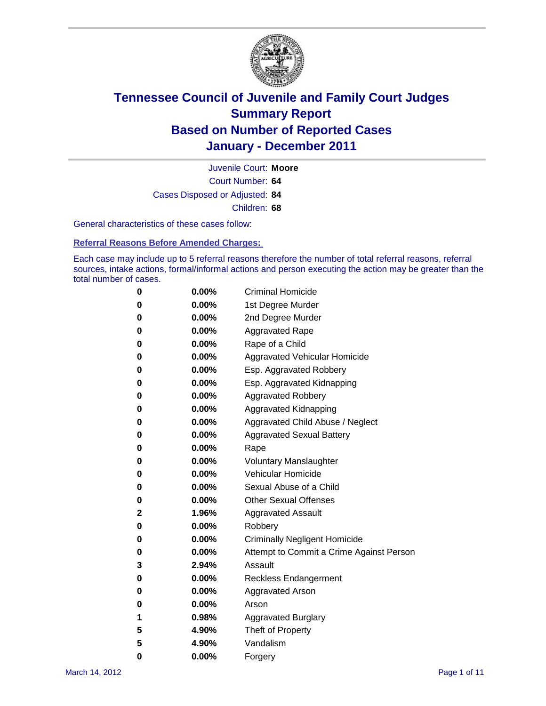

Court Number: **64** Juvenile Court: **Moore** Cases Disposed or Adjusted: **84** Children: **68**

General characteristics of these cases follow:

**Referral Reasons Before Amended Charges:** 

Each case may include up to 5 referral reasons therefore the number of total referral reasons, referral sources, intake actions, formal/informal actions and person executing the action may be greater than the total number of cases.

| 0 | $0.00\%$ | <b>Criminal Homicide</b>                 |
|---|----------|------------------------------------------|
| 0 | $0.00\%$ | 1st Degree Murder                        |
| 0 | $0.00\%$ | 2nd Degree Murder                        |
| 0 | $0.00\%$ | <b>Aggravated Rape</b>                   |
| 0 | $0.00\%$ | Rape of a Child                          |
| 0 | $0.00\%$ | Aggravated Vehicular Homicide            |
| 0 | $0.00\%$ | Esp. Aggravated Robbery                  |
| 0 | $0.00\%$ | Esp. Aggravated Kidnapping               |
| 0 | $0.00\%$ | <b>Aggravated Robbery</b>                |
| 0 | $0.00\%$ | Aggravated Kidnapping                    |
| 0 | $0.00\%$ | Aggravated Child Abuse / Neglect         |
| 0 | $0.00\%$ | <b>Aggravated Sexual Battery</b>         |
| 0 | 0.00%    | Rape                                     |
| 0 | $0.00\%$ | <b>Voluntary Manslaughter</b>            |
| 0 | $0.00\%$ | Vehicular Homicide                       |
| 0 | $0.00\%$ | Sexual Abuse of a Child                  |
| 0 | $0.00\%$ | <b>Other Sexual Offenses</b>             |
| 2 | 1.96%    | <b>Aggravated Assault</b>                |
| 0 | $0.00\%$ | Robbery                                  |
| 0 | $0.00\%$ | <b>Criminally Negligent Homicide</b>     |
| 0 | $0.00\%$ | Attempt to Commit a Crime Against Person |
| 3 | 2.94%    | Assault                                  |
| 0 | $0.00\%$ | <b>Reckless Endangerment</b>             |
| 0 | 0.00%    | <b>Aggravated Arson</b>                  |
| 0 | $0.00\%$ | Arson                                    |
| 1 | 0.98%    | <b>Aggravated Burglary</b>               |
| 5 | 4.90%    | Theft of Property                        |
| 5 | 4.90%    | Vandalism                                |
| 0 | 0.00%    | Forgery                                  |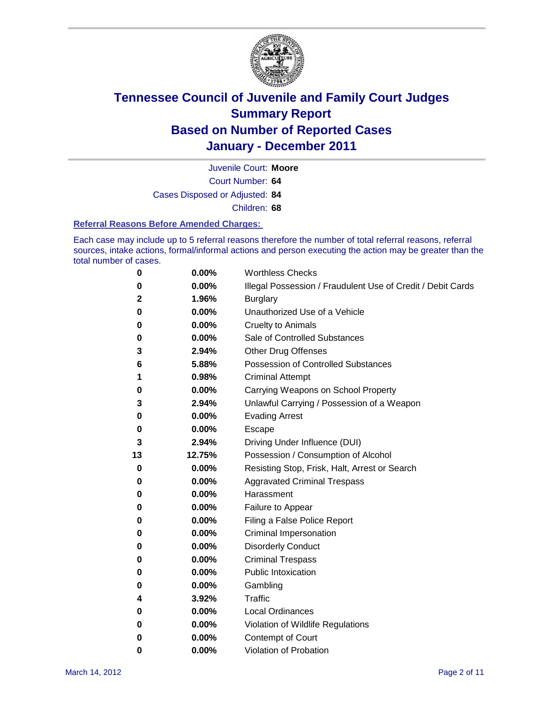

Court Number: **64** Juvenile Court: **Moore** Cases Disposed or Adjusted: **84**

Children: **68**

### **Referral Reasons Before Amended Charges:**

Each case may include up to 5 referral reasons therefore the number of total referral reasons, referral sources, intake actions, formal/informal actions and person executing the action may be greater than the total number of cases.

| 0  | 0.00%    | <b>Worthless Checks</b>                                     |
|----|----------|-------------------------------------------------------------|
| 0  | 0.00%    | Illegal Possession / Fraudulent Use of Credit / Debit Cards |
| 2  | 1.96%    | <b>Burglary</b>                                             |
| 0  | 0.00%    | Unauthorized Use of a Vehicle                               |
| 0  | 0.00%    | <b>Cruelty to Animals</b>                                   |
| 0  | 0.00%    | Sale of Controlled Substances                               |
| 3  | 2.94%    | <b>Other Drug Offenses</b>                                  |
| 6  | 5.88%    | <b>Possession of Controlled Substances</b>                  |
| 1  | 0.98%    | <b>Criminal Attempt</b>                                     |
| 0  | 0.00%    | Carrying Weapons on School Property                         |
| 3  | 2.94%    | Unlawful Carrying / Possession of a Weapon                  |
| 0  | 0.00%    | <b>Evading Arrest</b>                                       |
| 0  | 0.00%    | Escape                                                      |
| 3  | 2.94%    | Driving Under Influence (DUI)                               |
| 13 | 12.75%   | Possession / Consumption of Alcohol                         |
| 0  | 0.00%    | Resisting Stop, Frisk, Halt, Arrest or Search               |
| 0  | 0.00%    | <b>Aggravated Criminal Trespass</b>                         |
| 0  | 0.00%    | Harassment                                                  |
| 0  | 0.00%    | Failure to Appear                                           |
| 0  | 0.00%    | Filing a False Police Report                                |
| 0  | 0.00%    | Criminal Impersonation                                      |
| 0  | 0.00%    | <b>Disorderly Conduct</b>                                   |
| 0  | 0.00%    | <b>Criminal Trespass</b>                                    |
| 0  | 0.00%    | <b>Public Intoxication</b>                                  |
| 0  | 0.00%    | Gambling                                                    |
| 4  | 3.92%    | <b>Traffic</b>                                              |
| 0  | 0.00%    | <b>Local Ordinances</b>                                     |
| 0  | 0.00%    | Violation of Wildlife Regulations                           |
| 0  | $0.00\%$ | Contempt of Court                                           |
| 0  | 0.00%    | Violation of Probation                                      |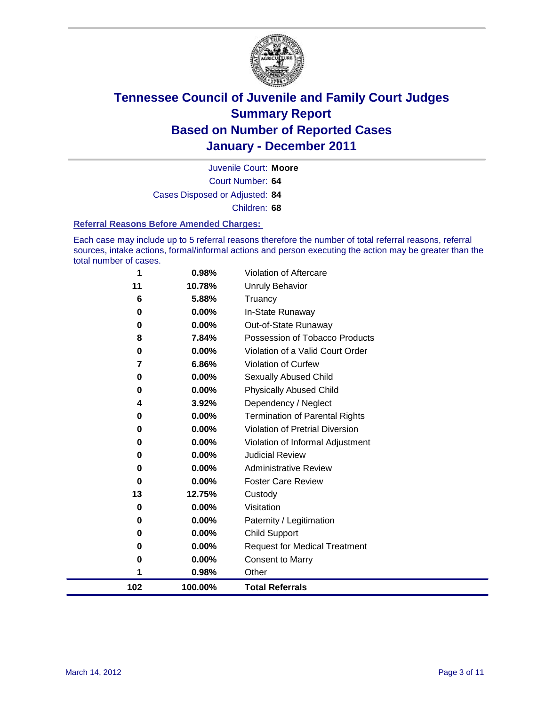

Court Number: **64** Juvenile Court: **Moore** Cases Disposed or Adjusted: **84** Children: **68**

#### **Referral Reasons Before Amended Charges:**

Each case may include up to 5 referral reasons therefore the number of total referral reasons, referral sources, intake actions, formal/informal actions and person executing the action may be greater than the total number of cases.

| 102 | 100.00%                     | <b>Total Referrals</b>                                                   |
|-----|-----------------------------|--------------------------------------------------------------------------|
|     | 0.98%<br>1                  | Other                                                                    |
|     | 0.00%<br>0                  | <b>Consent to Marry</b>                                                  |
|     | 0.00%<br>0                  | <b>Request for Medical Treatment</b>                                     |
|     | 0.00%<br>0                  | <b>Child Support</b>                                                     |
|     | 0.00%<br>0                  | Paternity / Legitimation                                                 |
|     | 0.00%<br>0                  | Visitation                                                               |
|     | 13<br>12.75%                | Custody                                                                  |
|     | $0.00\%$<br>0               | <b>Foster Care Review</b>                                                |
|     | $0.00\%$<br>$\bf{0}$        | <b>Administrative Review</b>                                             |
|     | 0.00%<br>0                  | <b>Judicial Review</b>                                                   |
|     | 0.00%<br>0                  | Violation of Informal Adjustment                                         |
|     | $0.00\%$<br>0               | Termination of Parental Rights<br><b>Violation of Pretrial Diversion</b> |
|     | 3.92%<br>4<br>$0.00\%$<br>0 | Dependency / Neglect                                                     |
|     | 0.00%<br>0                  | <b>Physically Abused Child</b>                                           |
|     | $0.00\%$<br>0               | Sexually Abused Child                                                    |
|     | 6.86%<br>7                  | <b>Violation of Curfew</b>                                               |
|     | 0.00%<br>0                  | Violation of a Valid Court Order                                         |
|     | 7.84%<br>8                  | Possession of Tobacco Products                                           |
|     | $0.00\%$<br>0               | Out-of-State Runaway                                                     |
|     | 0.00%<br>0                  | In-State Runaway                                                         |
|     | 5.88%<br>6                  | Truancy                                                                  |
| 11  | 10.78%                      | <b>Unruly Behavior</b>                                                   |
|     | 1<br>0.98%                  | Violation of Aftercare                                                   |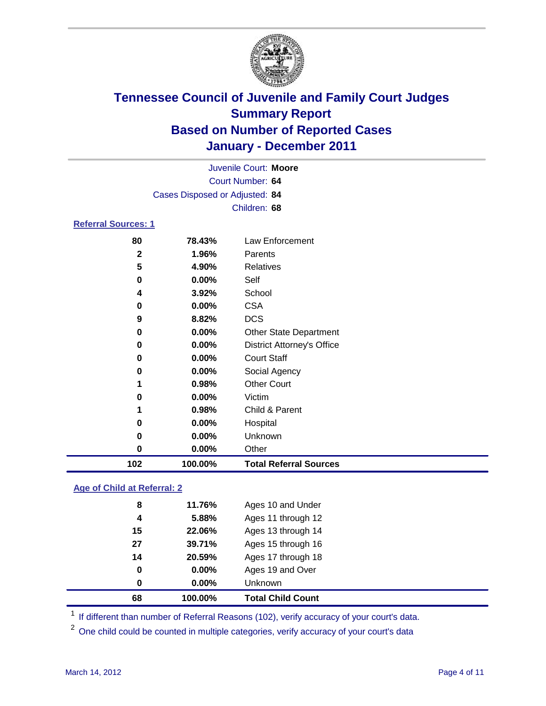

| Juvenile Court: Moore      |                                |                                   |  |  |  |
|----------------------------|--------------------------------|-----------------------------------|--|--|--|
| Court Number: 64           |                                |                                   |  |  |  |
|                            | Cases Disposed or Adjusted: 84 |                                   |  |  |  |
|                            |                                | Children: 68                      |  |  |  |
| <b>Referral Sources: 1</b> |                                |                                   |  |  |  |
| 80                         | 78.43%                         | Law Enforcement                   |  |  |  |
| $\mathbf{2}$               | 1.96%                          | Parents                           |  |  |  |
| 5                          | 4.90%                          | Relatives                         |  |  |  |
| 0                          | 0.00%                          | Self                              |  |  |  |
| 4                          | 3.92%                          | School                            |  |  |  |
| 0                          | $0.00\%$                       | <b>CSA</b>                        |  |  |  |
| 9                          | 8.82%                          | <b>DCS</b>                        |  |  |  |
| 0                          | $0.00\%$                       | <b>Other State Department</b>     |  |  |  |
| 0                          | 0.00%                          | <b>District Attorney's Office</b> |  |  |  |
| 0                          | $0.00\%$                       | <b>Court Staff</b>                |  |  |  |
| 0                          | $0.00\%$                       | Social Agency                     |  |  |  |
| 1                          | 0.98%                          | <b>Other Court</b>                |  |  |  |
| 0                          | $0.00\%$                       | Victim                            |  |  |  |
| 1                          | 0.98%                          | Child & Parent                    |  |  |  |
| 0                          | $0.00\%$                       | Hospital                          |  |  |  |

 **0.00%** Unknown **0.00%** Other **100.00% Total Referral Sources**

### **Age of Child at Referral: 2**

| 68 | 100.00%  | <b>Total Child Count</b> |  |
|----|----------|--------------------------|--|
| 0  | $0.00\%$ | Unknown                  |  |
| 0  | $0.00\%$ | Ages 19 and Over         |  |
| 14 | 20.59%   | Ages 17 through 18       |  |
| 27 | 39.71%   | Ages 15 through 16       |  |
| 15 | 22.06%   | Ages 13 through 14       |  |
| 4  | 5.88%    | Ages 11 through 12       |  |
| 8  | 11.76%   | Ages 10 and Under        |  |
|    |          |                          |  |

<sup>1</sup> If different than number of Referral Reasons (102), verify accuracy of your court's data.

<sup>2</sup> One child could be counted in multiple categories, verify accuracy of your court's data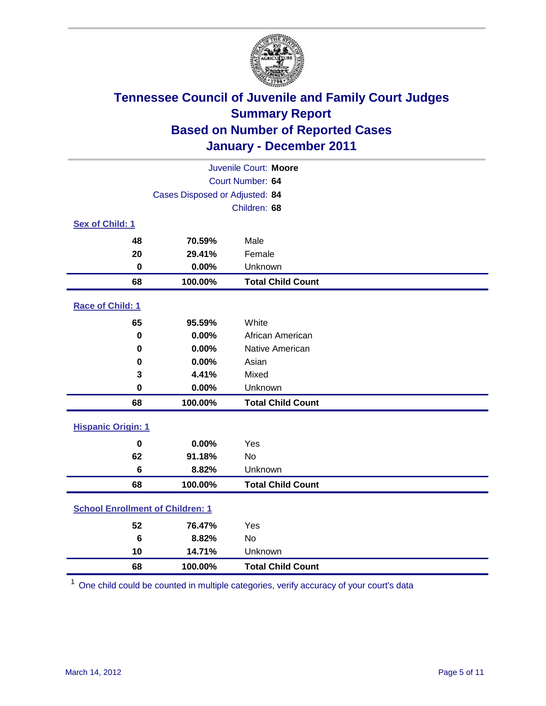

| Juvenile Court: Moore                   |                                |                          |  |  |  |
|-----------------------------------------|--------------------------------|--------------------------|--|--|--|
|                                         | Court Number: 64               |                          |  |  |  |
|                                         | Cases Disposed or Adjusted: 84 |                          |  |  |  |
|                                         |                                | Children: 68             |  |  |  |
| Sex of Child: 1                         |                                |                          |  |  |  |
| 48                                      | 70.59%                         | Male                     |  |  |  |
| 20                                      | 29.41%                         | Female                   |  |  |  |
| $\mathbf 0$                             | 0.00%                          | Unknown                  |  |  |  |
| 68                                      | 100.00%                        | <b>Total Child Count</b> |  |  |  |
| Race of Child: 1                        |                                |                          |  |  |  |
| 65                                      | 95.59%                         | White                    |  |  |  |
| $\pmb{0}$                               | 0.00%                          | African American         |  |  |  |
| $\mathbf 0$                             | 0.00%                          | Native American          |  |  |  |
| 0                                       | 0.00%                          | Asian                    |  |  |  |
| 3                                       | 4.41%                          | Mixed                    |  |  |  |
| $\mathbf 0$                             | 0.00%                          | Unknown                  |  |  |  |
| 68                                      | 100.00%                        | <b>Total Child Count</b> |  |  |  |
| <b>Hispanic Origin: 1</b>               |                                |                          |  |  |  |
| $\mathbf 0$                             | 0.00%                          | Yes                      |  |  |  |
| 62                                      | 91.18%                         | No                       |  |  |  |
| $6\phantom{1}$                          | 8.82%                          | Unknown                  |  |  |  |
| 68                                      | 100.00%                        | <b>Total Child Count</b> |  |  |  |
| <b>School Enrollment of Children: 1</b> |                                |                          |  |  |  |
| 52                                      | 76.47%                         | Yes                      |  |  |  |
| $6\phantom{1}6$                         | 8.82%                          | No                       |  |  |  |
| 10                                      | 14.71%                         | Unknown                  |  |  |  |
| 68                                      | 100.00%                        | <b>Total Child Count</b> |  |  |  |

One child could be counted in multiple categories, verify accuracy of your court's data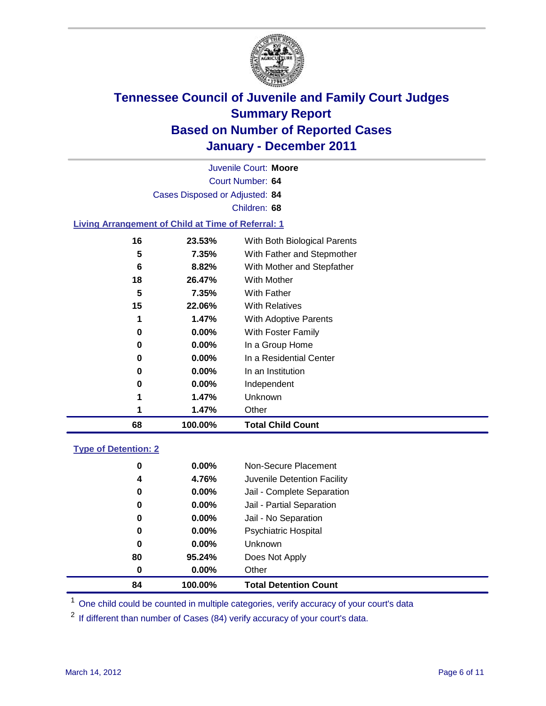

Court Number: **64** Juvenile Court: **Moore** Cases Disposed or Adjusted: **84** Children: **68 Living Arrangement of Child at Time of Referral: 1 23.53%** With Both Biological Parents **7.35%** With Father and Stepmother **8.82%** With Mother and Stepfather **26.47%** With Mother

| 68 |    | 100.00%  | <b>Total Child Count</b> |
|----|----|----------|--------------------------|
|    | 1  | 1.47%    | Other                    |
|    | 1  | 1.47%    | Unknown                  |
|    | 0  | $0.00\%$ | Independent              |
|    | 0  | $0.00\%$ | In an Institution        |
|    | 0  | $0.00\%$ | In a Residential Center  |
|    | 0  | $0.00\%$ | In a Group Home          |
|    | 0  | $0.00\%$ | With Foster Family       |
|    | 1  | 1.47%    | With Adoptive Parents    |
|    | 15 | 22.06%   | <b>With Relatives</b>    |
|    | 5  | 7.35%    | With Father              |
|    |    |          |                          |

### **Type of Detention: 2**

| 84 | 100.00%  | <b>Total Detention Count</b> |
|----|----------|------------------------------|
| 0  | 0.00%    | Other                        |
| 80 | 95.24%   | Does Not Apply               |
| 0  | $0.00\%$ | Unknown                      |
| 0  | 0.00%    | Psychiatric Hospital         |
| 0  | $0.00\%$ | Jail - No Separation         |
| 0  | $0.00\%$ | Jail - Partial Separation    |
| 0  | $0.00\%$ | Jail - Complete Separation   |
| 4  | 4.76%    | Juvenile Detention Facility  |
| 0  | $0.00\%$ | Non-Secure Placement         |
|    |          |                              |

<sup>1</sup> One child could be counted in multiple categories, verify accuracy of your court's data

<sup>2</sup> If different than number of Cases (84) verify accuracy of your court's data.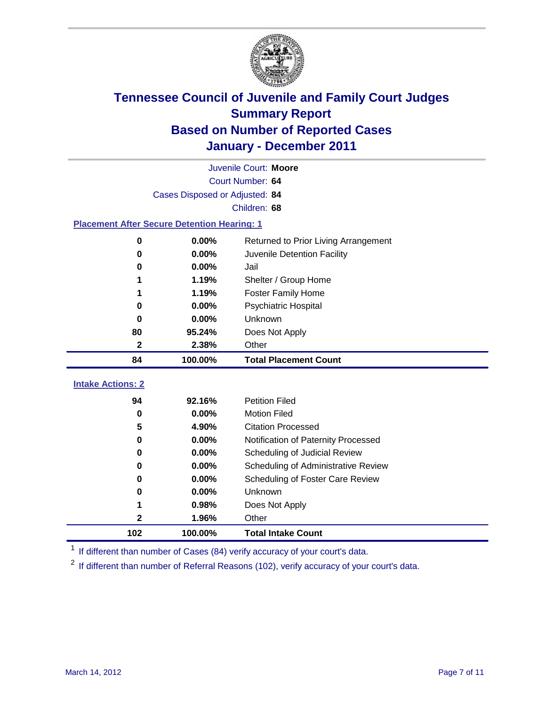

|                                                    | Juvenile Court: Moore          |                                      |  |  |  |
|----------------------------------------------------|--------------------------------|--------------------------------------|--|--|--|
|                                                    | Court Number: 64               |                                      |  |  |  |
|                                                    | Cases Disposed or Adjusted: 84 |                                      |  |  |  |
|                                                    |                                | Children: 68                         |  |  |  |
| <b>Placement After Secure Detention Hearing: 1</b> |                                |                                      |  |  |  |
| $\mathbf 0$                                        | 0.00%                          | Returned to Prior Living Arrangement |  |  |  |
| $\bf{0}$                                           | 0.00%                          | Juvenile Detention Facility          |  |  |  |
| 0                                                  | 0.00%                          | Jail                                 |  |  |  |
| 1                                                  | 1.19%                          | Shelter / Group Home                 |  |  |  |
| 1                                                  | 1.19%                          | Foster Family Home                   |  |  |  |
| 0                                                  | 0.00%                          | Psychiatric Hospital                 |  |  |  |
| 0                                                  | 0.00%                          | Unknown                              |  |  |  |
| 80                                                 | 95.24%                         | Does Not Apply                       |  |  |  |
| $\mathbf{2}$                                       | 2.38%                          | Other                                |  |  |  |
| 84                                                 | 100.00%                        | <b>Total Placement Count</b>         |  |  |  |
|                                                    |                                |                                      |  |  |  |
| <b>Intake Actions: 2</b>                           |                                |                                      |  |  |  |
| 94                                                 | 92.16%                         | <b>Petition Filed</b>                |  |  |  |
| 0                                                  | 0.00%                          | <b>Motion Filed</b>                  |  |  |  |
| 5                                                  | 4.90%                          | <b>Citation Processed</b>            |  |  |  |
| 0                                                  | 0.00%                          | Notification of Paternity Processed  |  |  |  |
| $\bf{0}$                                           | 0.00%                          | Scheduling of Judicial Review        |  |  |  |
| 0                                                  | 0.00%                          | Scheduling of Administrative Review  |  |  |  |
| 0                                                  | 0.00%                          | Scheduling of Foster Care Review     |  |  |  |
| 0                                                  | 0.00%                          | Unknown                              |  |  |  |
| 1                                                  | 0.98%                          | Does Not Apply                       |  |  |  |
| 2                                                  | 1.96%                          | Other                                |  |  |  |
| 102                                                | 100.00%                        | <b>Total Intake Count</b>            |  |  |  |

<sup>1</sup> If different than number of Cases (84) verify accuracy of your court's data.

<sup>2</sup> If different than number of Referral Reasons (102), verify accuracy of your court's data.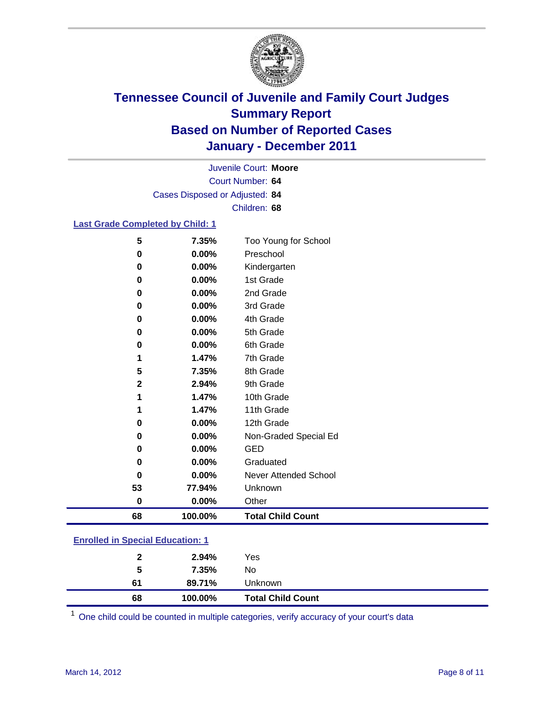

Court Number: **64** Juvenile Court: **Moore** Cases Disposed or Adjusted: **84** Children: **68**

### **Last Grade Completed by Child: 1**

| 5            | 7.35%   | Too Young for School         |
|--------------|---------|------------------------------|
| 0            | 0.00%   | Preschool                    |
| 0            | 0.00%   | Kindergarten                 |
| 0            | 0.00%   | 1st Grade                    |
| 0            | 0.00%   | 2nd Grade                    |
| 0            | 0.00%   | 3rd Grade                    |
| 0            | 0.00%   | 4th Grade                    |
| 0            | 0.00%   | 5th Grade                    |
| 0            | 0.00%   | 6th Grade                    |
| 1            | 1.47%   | 7th Grade                    |
| 5            | 7.35%   | 8th Grade                    |
| $\mathbf{2}$ | 2.94%   | 9th Grade                    |
| 1            | 1.47%   | 10th Grade                   |
| 1            | 1.47%   | 11th Grade                   |
| 0            | 0.00%   | 12th Grade                   |
| 0            | 0.00%   | Non-Graded Special Ed        |
| 0            | 0.00%   | <b>GED</b>                   |
| 0            | 0.00%   | Graduated                    |
| 0            | 0.00%   | <b>Never Attended School</b> |
| 53           | 77.94%  | Unknown                      |
| 0            | 0.00%   | Other                        |
| 68           | 100.00% | <b>Total Child Count</b>     |

| 68                                    | 100.00% | <b>Total Child Count</b> |  |  |
|---------------------------------------|---------|--------------------------|--|--|
| 61                                    | 89.71%  | Unknown                  |  |  |
| 5                                     | 7.35%   | No                       |  |  |
| $\mathbf{2}$                          | 2.94%   | Yes                      |  |  |
| <u>Embreu III opecial Eugeanon. T</u> |         |                          |  |  |

One child could be counted in multiple categories, verify accuracy of your court's data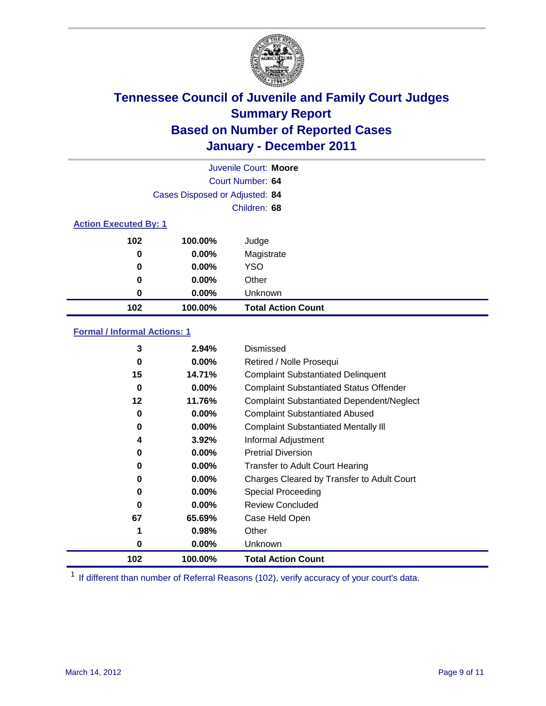

|                              | Juvenile Court: Moore          |                           |  |  |  |
|------------------------------|--------------------------------|---------------------------|--|--|--|
|                              | Court Number: 64               |                           |  |  |  |
|                              | Cases Disposed or Adjusted: 84 |                           |  |  |  |
|                              |                                | Children: 68              |  |  |  |
| <b>Action Executed By: 1</b> |                                |                           |  |  |  |
| 102                          | 100.00%                        | Judge                     |  |  |  |
| 0                            | $0.00\%$                       | Magistrate                |  |  |  |
| $\bf{0}$                     | $0.00\%$                       | <b>YSO</b>                |  |  |  |
| 0                            | 0.00%                          | Other                     |  |  |  |
| 0                            | 0.00%                          | Unknown                   |  |  |  |
| 102                          | 100.00%                        | <b>Total Action Count</b> |  |  |  |

### **Formal / Informal Actions: 1**

| 3   | 2.94%    | Dismissed                                        |
|-----|----------|--------------------------------------------------|
| 0   | $0.00\%$ | Retired / Nolle Prosequi                         |
| 15  | 14.71%   | <b>Complaint Substantiated Delinquent</b>        |
| 0   | $0.00\%$ | <b>Complaint Substantiated Status Offender</b>   |
| 12  | 11.76%   | <b>Complaint Substantiated Dependent/Neglect</b> |
| 0   | $0.00\%$ | <b>Complaint Substantiated Abused</b>            |
| 0   | $0.00\%$ | <b>Complaint Substantiated Mentally III</b>      |
| 4   | 3.92%    | Informal Adjustment                              |
| 0   | $0.00\%$ | <b>Pretrial Diversion</b>                        |
| 0   | $0.00\%$ | <b>Transfer to Adult Court Hearing</b>           |
| 0   | $0.00\%$ | Charges Cleared by Transfer to Adult Court       |
| 0   | $0.00\%$ | Special Proceeding                               |
| 0   | $0.00\%$ | <b>Review Concluded</b>                          |
| 67  | 65.69%   | Case Held Open                                   |
|     | 0.98%    | Other                                            |
| 0   | $0.00\%$ | Unknown                                          |
| 102 | 100.00%  | <b>Total Action Count</b>                        |

<sup>1</sup> If different than number of Referral Reasons (102), verify accuracy of your court's data.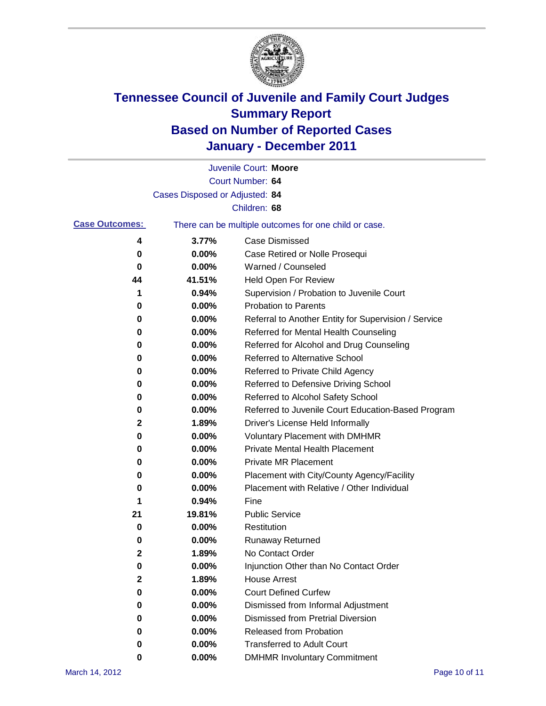

|                       |                                | Juvenile Court: Moore                                 |
|-----------------------|--------------------------------|-------------------------------------------------------|
|                       |                                | Court Number: 64                                      |
|                       | Cases Disposed or Adjusted: 84 |                                                       |
|                       |                                | Children: 68                                          |
| <b>Case Outcomes:</b> |                                | There can be multiple outcomes for one child or case. |
| 4                     | 3.77%                          | <b>Case Dismissed</b>                                 |
| 0                     | 0.00%                          | Case Retired or Nolle Prosequi                        |
| 0                     | 0.00%                          | Warned / Counseled                                    |
| 44                    | 41.51%                         | Held Open For Review                                  |
| 1                     | 0.94%                          | Supervision / Probation to Juvenile Court             |
| 0                     | 0.00%                          | <b>Probation to Parents</b>                           |
| 0                     | 0.00%                          | Referral to Another Entity for Supervision / Service  |
| 0                     | 0.00%                          | Referred for Mental Health Counseling                 |
| 0                     | 0.00%                          | Referred for Alcohol and Drug Counseling              |
| 0                     | 0.00%                          | <b>Referred to Alternative School</b>                 |
| 0                     | 0.00%                          | Referred to Private Child Agency                      |
| 0                     | 0.00%                          | Referred to Defensive Driving School                  |
| 0                     | 0.00%                          | Referred to Alcohol Safety School                     |
| 0                     | 0.00%                          | Referred to Juvenile Court Education-Based Program    |
| 2                     | 1.89%                          | Driver's License Held Informally                      |
| 0                     | 0.00%                          | <b>Voluntary Placement with DMHMR</b>                 |
| 0                     | 0.00%                          | <b>Private Mental Health Placement</b>                |
| 0                     | 0.00%                          | <b>Private MR Placement</b>                           |
| 0                     | 0.00%                          | Placement with City/County Agency/Facility            |
| 0                     | 0.00%                          | Placement with Relative / Other Individual            |
| 1                     | 0.94%                          | Fine                                                  |
| 21                    | 19.81%                         | <b>Public Service</b>                                 |
| 0                     | 0.00%                          | Restitution                                           |
| 0                     | 0.00%                          | <b>Runaway Returned</b>                               |
| 2                     | 1.89%                          | No Contact Order                                      |
| 0                     | 0.00%                          | Injunction Other than No Contact Order                |
| $\mathbf 2$           | 1.89%                          | <b>House Arrest</b>                                   |
| 0                     | 0.00%                          | <b>Court Defined Curfew</b>                           |
| 0                     | 0.00%                          | Dismissed from Informal Adjustment                    |
| 0                     | 0.00%                          | <b>Dismissed from Pretrial Diversion</b>              |
| 0                     | 0.00%                          | Released from Probation                               |
| 0                     | 0.00%                          | <b>Transferred to Adult Court</b>                     |
| 0                     | $0.00\%$                       | <b>DMHMR Involuntary Commitment</b>                   |